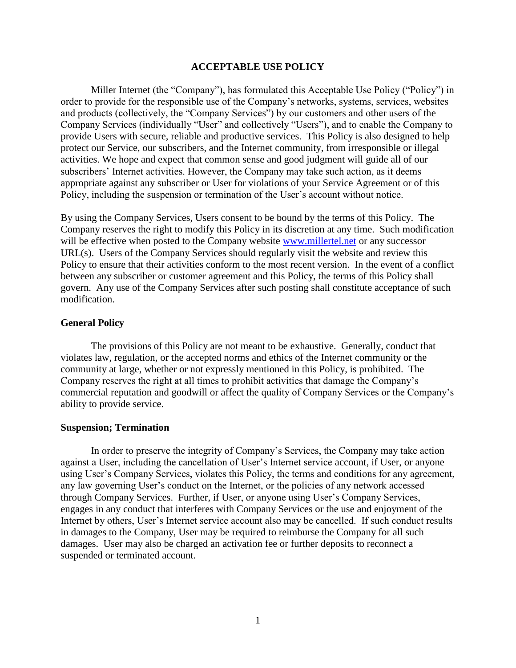### **ACCEPTABLE USE POLICY**

Miller Internet (the "Company"), has formulated this Acceptable Use Policy ("Policy") in order to provide for the responsible use of the Company's networks, systems, services, websites and products (collectively, the "Company Services") by our customers and other users of the Company Services (individually "User" and collectively "Users"), and to enable the Company to provide Users with secure, reliable and productive services. This Policy is also designed to help protect our Service, our subscribers, and the Internet community, from irresponsible or illegal activities. We hope and expect that common sense and good judgment will guide all of our subscribers' Internet activities. However, the Company may take such action, as it deems appropriate against any subscriber or User for violations of your Service Agreement or of this Policy, including the suspension or termination of the User's account without notice.

By using the Company Services, Users consent to be bound by the terms of this Policy. The Company reserves the right to modify this Policy in its discretion at any time. Such modification will be effective when posted to the Company website [www.millertel.net](http://www.millertel.net/) or any successor URL(s). Users of the Company Services should regularly visit the website and review this Policy to ensure that their activities conform to the most recent version. In the event of a conflict between any subscriber or customer agreement and this Policy, the terms of this Policy shall govern. Any use of the Company Services after such posting shall constitute acceptance of such modification.

### **General Policy**

The provisions of this Policy are not meant to be exhaustive. Generally, conduct that violates law, regulation, or the accepted norms and ethics of the Internet community or the community at large, whether or not expressly mentioned in this Policy, is prohibited. The Company reserves the right at all times to prohibit activities that damage the Company's commercial reputation and goodwill or affect the quality of Company Services or the Company's ability to provide service.

#### **Suspension; Termination**

In order to preserve the integrity of Company's Services, the Company may take action against a User, including the cancellation of User's Internet service account, if User, or anyone using User's Company Services, violates this Policy, the terms and conditions for any agreement, any law governing User's conduct on the Internet, or the policies of any network accessed through Company Services. Further, if User, or anyone using User's Company Services, engages in any conduct that interferes with Company Services or the use and enjoyment of the Internet by others, User's Internet service account also may be cancelled. If such conduct results in damages to the Company, User may be required to reimburse the Company for all such damages. User may also be charged an activation fee or further deposits to reconnect a suspended or terminated account.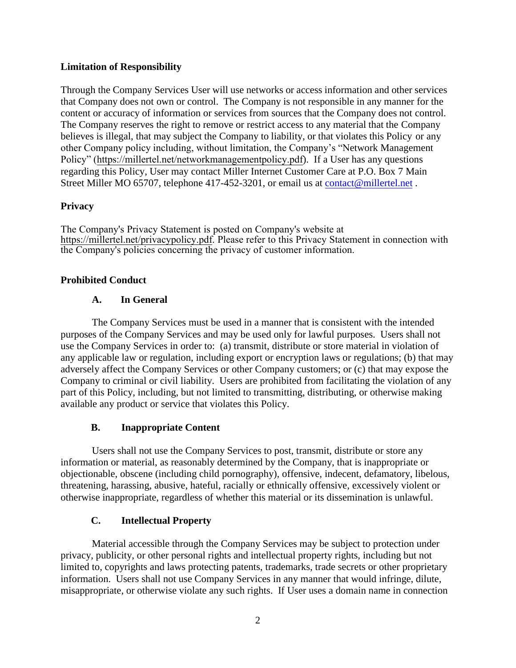# **Limitation of Responsibility**

Through the Company Services User will use networks or access information and other services that Company does not own or control. The Company is not responsible in any manner for the content or accuracy of information or services from sources that the Company does not control. The Company reserves the right to remove or restrict access to any material that the Company believes is illegal, that may subject the Company to liability, or that violates this Policy or any other Company policy including, without limitation, the Company's "Network Management Policy" [\(](http://www.milletel.net/openinternet/networkmanagementpolicy.pdf)https://millertel.net/networkmanagementpolicy.pdf). If a User has any questions regarding this Policy, User may contact Miller Internet Customer Care at P.O. Box 7 Main Street Miller MO 65707, telephone 417-452-3201, or email us at [contact@millertel.net](mailto:contact@millertel.net) .

## **Privacy**

The Company's Privacy Statement is posted on Company's website at [https://millertel.net/privacypolicy.pdf. Please refer](http://www.millertel.net/openinternet/privacypolicy.pdf) to this Privacy Statement in connection with the Company's policies concerning the privacy of customer information.

## **Prohibited Conduct**

## **A. In General**

The Company Services must be used in a manner that is consistent with the intended purposes of the Company Services and may be used only for lawful purposes. Users shall not use the Company Services in order to: (a) transmit, distribute or store material in violation of any applicable law or regulation, including export or encryption laws or regulations; (b) that may adversely affect the Company Services or other Company customers; or (c) that may expose the Company to criminal or civil liability. Users are prohibited from facilitating the violation of any part of this Policy, including, but not limited to transmitting, distributing, or otherwise making available any product or service that violates this Policy.

# **B. Inappropriate Content**

Users shall not use the Company Services to post, transmit, distribute or store any information or material, as reasonably determined by the Company, that is inappropriate or objectionable, obscene (including child pornography), offensive, indecent, defamatory, libelous, threatening, harassing, abusive, hateful, racially or ethnically offensive, excessively violent or otherwise inappropriate, regardless of whether this material or its dissemination is unlawful.

# **C. Intellectual Property**

Material accessible through the Company Services may be subject to protection under privacy, publicity, or other personal rights and intellectual property rights, including but not limited to, copyrights and laws protecting patents, trademarks, trade secrets or other proprietary information. Users shall not use Company Services in any manner that would infringe, dilute, misappropriate, or otherwise violate any such rights. If User uses a domain name in connection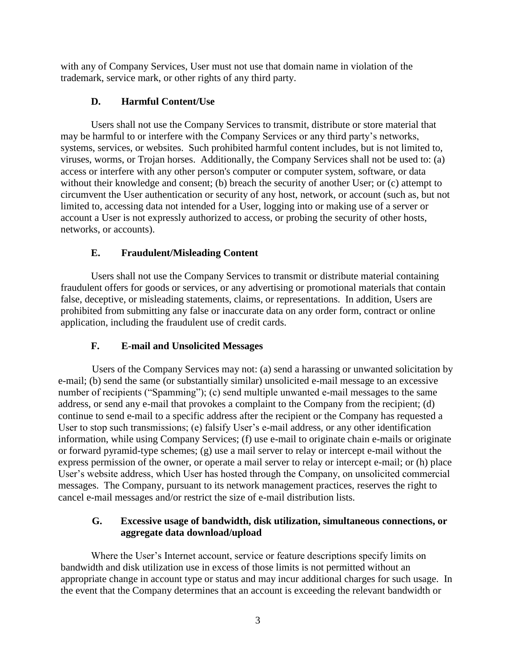with any of Company Services, User must not use that domain name in violation of the trademark, service mark, or other rights of any third party.

# **D. Harmful Content/Use**

Users shall not use the Company Services to transmit, distribute or store material that may be harmful to or interfere with the Company Services or any third party's networks, systems, services, or websites. Such prohibited harmful content includes, but is not limited to, viruses, worms, or Trojan horses. Additionally, the Company Services shall not be used to: (a) access or interfere with any other person's computer or computer system, software, or data without their knowledge and consent; (b) breach the security of another User; or (c) attempt to circumvent the User authentication or security of any host, network, or account (such as, but not limited to, accessing data not intended for a User, logging into or making use of a server or account a User is not expressly authorized to access, or probing the security of other hosts, networks, or accounts).

# **E. Fraudulent/Misleading Content**

Users shall not use the Company Services to transmit or distribute material containing fraudulent offers for goods or services, or any advertising or promotional materials that contain false, deceptive, or misleading statements, claims, or representations. In addition, Users are prohibited from submitting any false or inaccurate data on any order form, contract or online application, including the fraudulent use of credit cards.

# **F. E-mail and Unsolicited Messages**

Users of the Company Services may not: (a) send a harassing or unwanted solicitation by e-mail; (b) send the same (or substantially similar) unsolicited e-mail message to an excessive number of recipients ("Spamming"); (c) send multiple unwanted e-mail messages to the same address, or send any e-mail that provokes a complaint to the Company from the recipient; (d) continue to send e-mail to a specific address after the recipient or the Company has requested a User to stop such transmissions; (e) falsify User's e-mail address, or any other identification information, while using Company Services; (f) use e-mail to originate chain e-mails or originate or forward pyramid-type schemes; (g) use a mail server to relay or intercept e-mail without the express permission of the owner, or operate a mail server to relay or intercept e-mail; or (h) place User's website address, which User has hosted through the Company, on unsolicited commercial messages. The Company, pursuant to its network management practices, reserves the right to cancel e-mail messages and/or restrict the size of e-mail distribution lists.

# **G. Excessive usage of bandwidth, disk utilization, simultaneous connections, or aggregate data download/upload**

Where the User's Internet account, service or feature descriptions specify limits on bandwidth and disk utilization use in excess of those limits is not permitted without an appropriate change in account type or status and may incur additional charges for such usage. In the event that the Company determines that an account is exceeding the relevant bandwidth or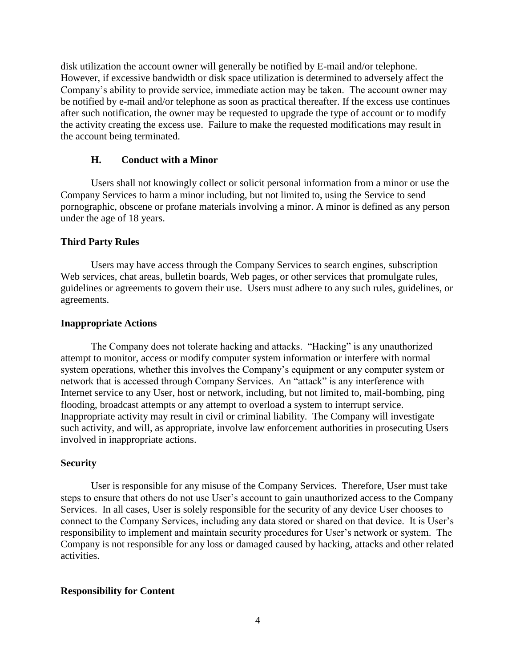disk utilization the account owner will generally be notified by E-mail and/or telephone. However, if excessive bandwidth or disk space utilization is determined to adversely affect the Company's ability to provide service, immediate action may be taken. The account owner may be notified by e-mail and/or telephone as soon as practical thereafter. If the excess use continues after such notification, the owner may be requested to upgrade the type of account or to modify the activity creating the excess use. Failure to make the requested modifications may result in the account being terminated.

## **H. Conduct with a Minor**

Users shall not knowingly collect or solicit personal information from a minor or use the Company Services to harm a minor including, but not limited to, using the Service to send pornographic, obscene or profane materials involving a minor. A minor is defined as any person under the age of 18 years.

## **Third Party Rules**

Users may have access through the Company Services to search engines, subscription Web services, chat areas, bulletin boards, Web pages, or other services that promulgate rules, guidelines or agreements to govern their use. Users must adhere to any such rules, guidelines, or agreements.

## **Inappropriate Actions**

The Company does not tolerate hacking and attacks. "Hacking" is any unauthorized attempt to monitor, access or modify computer system information or interfere with normal system operations, whether this involves the Company's equipment or any computer system or network that is accessed through Company Services. An "attack" is any interference with Internet service to any User, host or network, including, but not limited to, mail-bombing, ping flooding, broadcast attempts or any attempt to overload a system to interrupt service. Inappropriate activity may result in civil or criminal liability. The Company will investigate such activity, and will, as appropriate, involve law enforcement authorities in prosecuting Users involved in inappropriate actions.

## **Security**

User is responsible for any misuse of the Company Services. Therefore, User must take steps to ensure that others do not use User's account to gain unauthorized access to the Company Services. In all cases, User is solely responsible for the security of any device User chooses to connect to the Company Services, including any data stored or shared on that device. It is User's responsibility to implement and maintain security procedures for User's network or system. The Company is not responsible for any loss or damaged caused by hacking, attacks and other related activities.

## **Responsibility for Content**